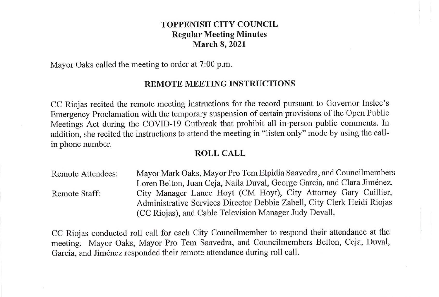## **TOPPENISH CITY COUNCIL Regular Meeting Minutes March 8, 2021**

Mayor Oaks called the meeting to order at 7:00 p.m.

### **REMOTE MEETING INSTRUCTIONS**

CC Riojas recited the remote meeting instructions for the record pursuant to Governor Inslee's Emergency Proclamation with the temporary suspension of certain provisions of the Open Public Meetings Act during the COVID-19 Outbreak that prohibit all in-person public comments. In addition, she recited the instructions to attend the meeting in "listen only" mode by using the callin phone number.

# **ROLL CALL**

Remote Attendees: Remote Staff: Mayor Mark Oaks, Mayor Pro Tem Elpidia Saavedra, and Councilmembers Loren Belton, Juan Ceja, Naila Duval, George Garcia, and Clara Jiménez. City Manager Lance Hoyt (CM Hoyt), City Attorney Gary Cuillier, Administrative Services Director Debbie Zabell, City Clerk Heidi Riojas (CC Riojas), and Cable Television Manager Judy Devall.

CC Riojas conducted roll call for each City Councilmember to respond their attendance at the meeting. Mayor Oaks, Mayor Pro Tem Saavedra, and Councilmembers Belton, Ceja, Duval, Garcia, and Jiménez responded their remote attendance during roll call.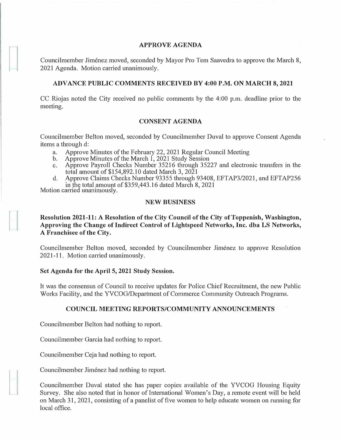#### **APPROVE AGENDA**

Councilmember Jimenez moved, seconded by Mayor Pro Tern Saavedra to approve the March 8, 2021 Agenda. Motion carried unanimously.

### **ADVANCE PUBLIC COMMENTS RECEIVED BY 4:00 P.M. ON MARCH 8, 2021**

CC Riojas noted the City received no public comments by the 4:00 p.m. deadline prior to the meeting.

#### **CONSENT AGENDA**

Councilmember Belton moved, seconded by Councilmember Duval to approve Consent Agenda items a through d:

- a. Approve Minutes of the February 22, 2021 Regular Council Meeting<br>b. Approve Minutes of the March 1, 2021 Study Session
- b. Approve Minutes of the March 1, 2021 Study Session
- c. Approve Payroll Checks Number 35216 through 35227 and electronic transfers in the total amount of \$154,892.10 dated March 3, 2021
- d. Approve Claims Checks Number 93355 through 93408, EFT AP3/2021, and EFTAP256 in the total amount of\$359,443.16 dated March 8, 2021

Motion carried unanimously.

### **NEW BUSINESS**

# **Resolution 2021-11: A Resolution of the City Council of the City of Toppenish, Washington, Approving the Change of Indirect Control of Lightspeed Networks, Inc. dba LS Networks, A Franchisee of the City.**

Councilmember Belton moved, seconded by Councilmember Jimenez to approve Resolution 2021-11. Motion carried unanimously.

## **Set Agenda for the April 5, 2021 Study Session.**

It was the consensus of Council to receive updates for Police Chief Recruitment, the new Public Works Facility, and the YVCOG/Department of Commerce Community Outreach Programs.

## **COUNCIL MEETING REPORTS/COMMUNITY ANNOUNCEMENTS**

Councilrnember Belton had nothing to report.

Councilmember Garcia had nothing to report.

Councilmember Ceja had nothing to report.

Councilmember Jimenez had nothing to report.

Councilmember Duval stated she has paper copies available of the YVCOG Housing Equity Survey. She also noted that in honor of International Women's Day, a remote event will be held on March 31, 2021, consisting of a panelist of five women to help educate women on running for local office.